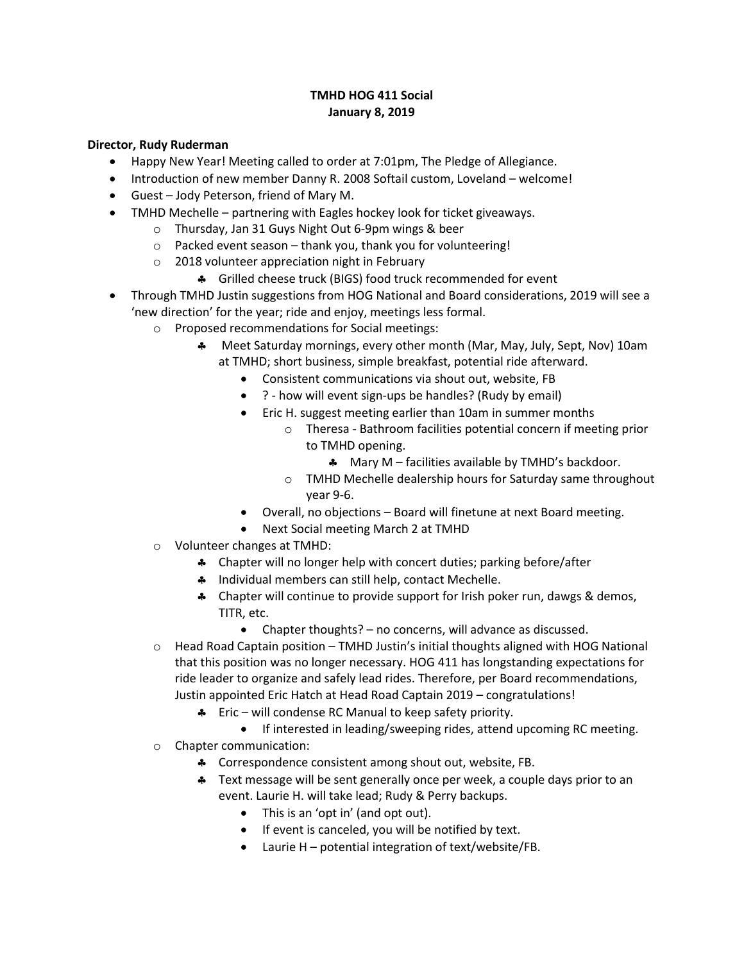## **TMHD HOG 411 Social January 8, 2019**

#### **Director, Rudy Ruderman**

- Happy New Year! Meeting called to order at 7:01pm, The Pledge of Allegiance.
- Introduction of new member Danny R. 2008 Softail custom, Loveland welcome!
- Guest Jody Peterson, friend of Mary M.
- TMHD Mechelle partnering with Eagles hockey look for ticket giveaways.
	- o Thursday, Jan 31 Guys Night Out 6-9pm wings & beer
	- $\circ$  Packed event season thank you, thank you for volunteering!
	- o 2018 volunteer appreciation night in February
		- **4** Grilled cheese truck (BIGS) food truck recommended for event
- Through TMHD Justin suggestions from HOG National and Board considerations, 2019 will see a 'new direction' for the year; ride and enjoy, meetings less formal.
	- o Proposed recommendations for Social meetings:
		- Meet Saturday mornings, every other month (Mar, May, July, Sept, Nov) 10am at TMHD; short business, simple breakfast, potential ride afterward.
			- Consistent communications via shout out, website, FB
			- ? how will event sign-ups be handles? (Rudy by email)
			- Eric H. suggest meeting earlier than 10am in summer months
				- o Theresa Bathroom facilities potential concern if meeting prior to TMHD opening.
					- **A** Mary M facilities available by TMHD's backdoor.
				- o TMHD Mechelle dealership hours for Saturday same throughout year 9-6.
			- Overall, no objections Board will finetune at next Board meeting.
			- Next Social meeting March 2 at TMHD
	- o Volunteer changes at TMHD:
		- Chapter will no longer help with concert duties; parking before/after
		- \* Individual members can still help, contact Mechelle.
		- \* Chapter will continue to provide support for Irish poker run, dawgs & demos, TITR, etc.
			- Chapter thoughts? no concerns, will advance as discussed.
	- $\circ$  Head Road Captain position TMHD Justin's initial thoughts aligned with HOG National that this position was no longer necessary. HOG 411 has longstanding expectations for ride leader to organize and safely lead rides. Therefore, per Board recommendations, Justin appointed Eric Hatch at Head Road Captain 2019 – congratulations!
		- $\clubsuit$  Eric will condense RC Manual to keep safety priority.
			- If interested in leading/sweeping rides, attend upcoming RC meeting.
	- o Chapter communication:
		- \* Correspondence consistent among shout out, website, FB.
		- \* Text message will be sent generally once per week, a couple days prior to an event. Laurie H. will take lead; Rudy & Perry backups.
			- This is an 'opt in' (and opt out).
			- If event is canceled, you will be notified by text.
			- Laurie H potential integration of text/website/FB.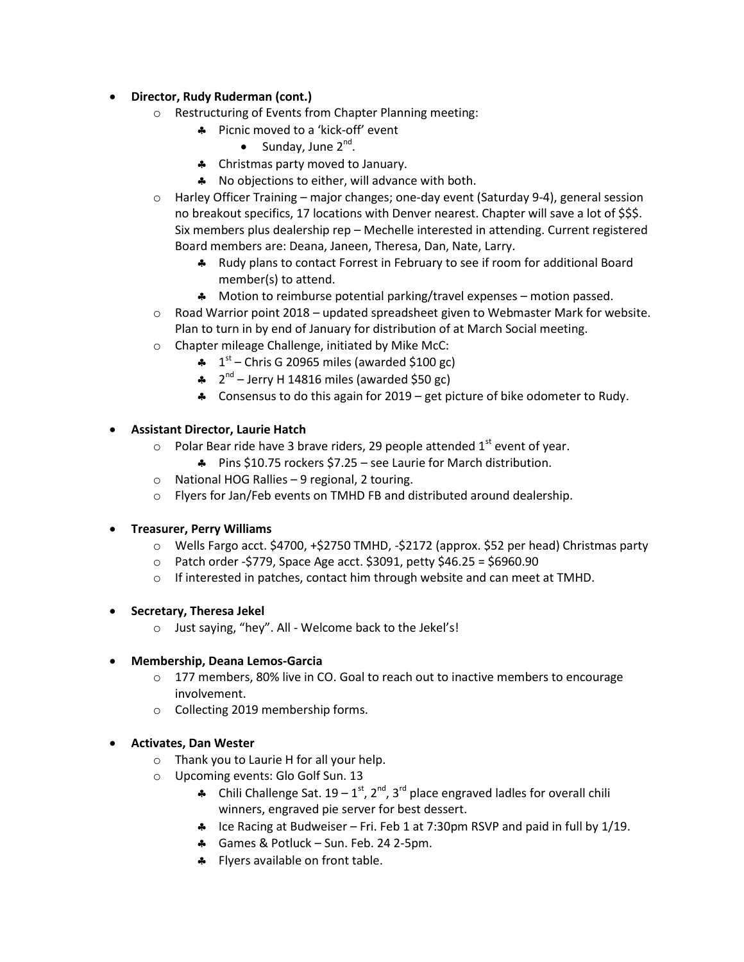# **Director, Rudy Ruderman (cont.)**

- o Restructuring of Events from Chapter Planning meeting:
	- **A** Picnic moved to a 'kick-off' event
		- $\bullet$  Sunday, June 2<sup>nd</sup>.
	- \* Christmas party moved to January.
	- \* No objections to either, will advance with both.
- o Harley Officer Training major changes; one-day event (Saturday 9-4), general session no breakout specifics, 17 locations with Denver nearest. Chapter will save a lot of \$\$\$. Six members plus dealership rep – Mechelle interested in attending. Current registered Board members are: Deana, Janeen, Theresa, Dan, Nate, Larry.
	- \* Rudy plans to contact Forrest in February to see if room for additional Board member(s) to attend.
	- **A** Motion to reimburse potential parking/travel expenses motion passed.
- $\circ$  Road Warrior point 2018 updated spreadsheet given to Webmaster Mark for website. Plan to turn in by end of January for distribution of at March Social meeting.
- o Chapter mileage Challenge, initiated by Mike McC:
	- $\clubsuit$  1<sup>st</sup> Chris G 20965 miles (awarded \$100 gc)
	- $\clubsuit$   $2<sup>nd</sup>$  Jerry H 14816 miles (awarded \$50 gc)
	- Consensus to do this again for 2019 get picture of bike odometer to Rudy.

### **Assistant Director, Laurie Hatch**

- $\circ$  Polar Bear ride have 3 brave riders, 29 people attended 1<sup>st</sup> event of year.
	- Pins \$10.75 rockers \$7.25 see Laurie for March distribution.
- o National HOG Rallies 9 regional, 2 touring.
- o Flyers for Jan/Feb events on TMHD FB and distributed around dealership.

### **Treasurer, Perry Williams**

- $\circ$  Wells Fargo acct. \$4700, +\$2750 TMHD, -\$2172 (approx. \$52 per head) Christmas party
- $\circ$  Patch order -\$779, Space Age acct. \$3091, petty \$46.25 = \$6960.90
- o If interested in patches, contact him through website and can meet at TMHD.

### **Secretary, Theresa Jekel**

o Just saying, "hey". All - Welcome back to the Jekel's!

### **Membership, Deana Lemos-Garcia**

- $\circ$  177 members, 80% live in CO. Goal to reach out to inactive members to encourage involvement.
- o Collecting 2019 membership forms.

### **Activates, Dan Wester**

- o Thank you to Laurie H for all your help.
- o Upcoming events: Glo Golf Sun. 13
	- Chili Challenge Sat.  $19 1^{st}$ ,  $2^{nd}$ ,  $3^{rd}$  place engraved ladles for overall chili winners, engraved pie server for best dessert.
	- **A** Ice Racing at Budweiser Fri. Feb 1 at 7:30pm RSVP and paid in full by  $1/19$ .
	- **4** Games & Potluck Sun. Feb. 24 2-5pm.
	- Flyers available on front table.